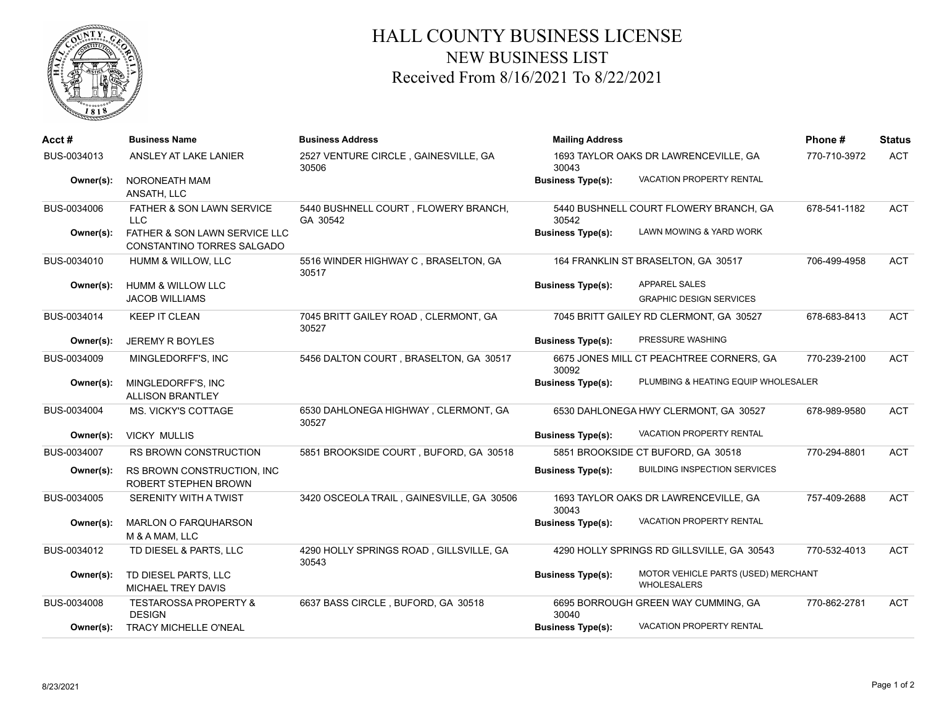

## HALL COUNTY BUSINESS LICENSE NEW BUSINESS LIST Received From 8/16/2021 To 8/22/2021

| Acct#       | <b>Business Name</b>                                        | <b>Business Address</b>                          | <b>Mailing Address</b>                          | Phone#                                                    | <b>Status</b> |            |
|-------------|-------------------------------------------------------------|--------------------------------------------------|-------------------------------------------------|-----------------------------------------------------------|---------------|------------|
| BUS-0034013 | ANSLEY AT LAKE LANIER                                       | 2527 VENTURE CIRCLE, GAINESVILLE, GA<br>30506    | 1693 TAYLOR OAKS DR LAWRENCEVILLE, GA<br>30043  |                                                           | 770-710-3972  | <b>ACT</b> |
| Owner(s):   | NORONEATH MAM<br>ANSATH, LLC                                |                                                  | <b>Business Type(s):</b>                        | VACATION PROPERTY RENTAL                                  |               |            |
| BUS-0034006 | FATHER & SON LAWN SERVICE<br><b>LLC</b>                     | 5440 BUSHNELL COURT, FLOWERY BRANCH,<br>GA 30542 | 5440 BUSHNELL COURT FLOWERY BRANCH, GA<br>30542 |                                                           | 678-541-1182  | <b>ACT</b> |
| Owner(s):   | FATHER & SON LAWN SERVICE LLC<br>CONSTANTINO TORRES SALGADO |                                                  | <b>Business Type(s):</b>                        | LAWN MOWING & YARD WORK                                   |               |            |
| BUS-0034010 | HUMM & WILLOW, LLC                                          | 5516 WINDER HIGHWAY C, BRASELTON, GA<br>30517    | 164 FRANKLIN ST BRASELTON, GA 30517             |                                                           | 706-499-4958  | <b>ACT</b> |
| Owner(s):   | <b>HUMM &amp; WILLOW LLC</b><br><b>JACOB WILLIAMS</b>       |                                                  | <b>Business Type(s):</b>                        | <b>APPAREL SALES</b><br><b>GRAPHIC DESIGN SERVICES</b>    |               |            |
| BUS-0034014 | <b>KEEP IT CLEAN</b>                                        | 7045 BRITT GAILEY ROAD, CLERMONT, GA<br>30527    |                                                 | 7045 BRITT GAILEY RD CLERMONT, GA 30527                   | 678-683-8413  | <b>ACT</b> |
| Owner(s):   | <b>JEREMY R BOYLES</b>                                      |                                                  | <b>Business Type(s):</b>                        | PRESSURE WASHING                                          |               |            |
| BUS-0034009 | MINGLEDORFF'S, INC                                          | 5456 DALTON COURT, BRASELTON, GA 30517           | 30092                                           | 6675 JONES MILL CT PEACHTREE CORNERS, GA                  | 770-239-2100  | <b>ACT</b> |
| Owner(s):   | MINGLEDORFF'S, INC<br><b>ALLISON BRANTLEY</b>               |                                                  | <b>Business Type(s):</b>                        | PLUMBING & HEATING EQUIP WHOLESALER                       |               |            |
| BUS-0034004 | MS. VICKY'S COTTAGE                                         | 6530 DAHLONEGA HIGHWAY, CLERMONT, GA<br>30527    |                                                 | 6530 DAHLONEGA HWY CLERMONT, GA 30527                     | 678-989-9580  | <b>ACT</b> |
| Owner(s):   | <b>VICKY MULLIS</b>                                         |                                                  | <b>Business Type(s):</b>                        | VACATION PROPERTY RENTAL                                  |               |            |
| BUS-0034007 | <b>RS BROWN CONSTRUCTION</b>                                | 5851 BROOKSIDE COURT, BUFORD, GA 30518           |                                                 | 5851 BROOKSIDE CT BUFORD, GA 30518                        | 770-294-8801  | <b>ACT</b> |
| Owner(s):   | RS BROWN CONSTRUCTION, INC.<br>ROBERT STEPHEN BROWN         |                                                  | <b>Business Type(s):</b>                        | <b>BUILDING INSPECTION SERVICES</b>                       |               |            |
| BUS-0034005 | <b>SERENITY WITH A TWIST</b>                                | 3420 OSCEOLA TRAIL, GAINESVILLE, GA 30506        | 30043                                           | 1693 TAYLOR OAKS DR LAWRENCEVILLE, GA                     | 757-409-2688  | <b>ACT</b> |
| Owner(s):   | <b>MARLON O FARQUHARSON</b><br>M & A MAM, LLC               |                                                  | <b>Business Type(s):</b>                        | VACATION PROPERTY RENTAL                                  |               |            |
| BUS-0034012 | TD DIESEL & PARTS, LLC                                      | 4290 HOLLY SPRINGS ROAD, GILLSVILLE, GA<br>30543 |                                                 | 4290 HOLLY SPRINGS RD GILLSVILLE, GA 30543                | 770-532-4013  | <b>ACT</b> |
| Owner(s):   | TD DIESEL PARTS, LLC<br><b>MICHAEL TREY DAVIS</b>           |                                                  | <b>Business Type(s):</b>                        | MOTOR VEHICLE PARTS (USED) MERCHANT<br><b>WHOLESALERS</b> |               |            |
| BUS-0034008 | <b>TESTAROSSA PROPERTY &amp;</b><br><b>DESIGN</b>           | 6637 BASS CIRCLE, BUFORD, GA 30518               | 30040                                           | 6695 BORROUGH GREEN WAY CUMMING, GA                       | 770-862-2781  | <b>ACT</b> |
| Owner(s):   | <b>TRACY MICHELLE O'NEAL</b>                                |                                                  | <b>Business Type(s):</b>                        | VACATION PROPERTY RENTAL                                  |               |            |